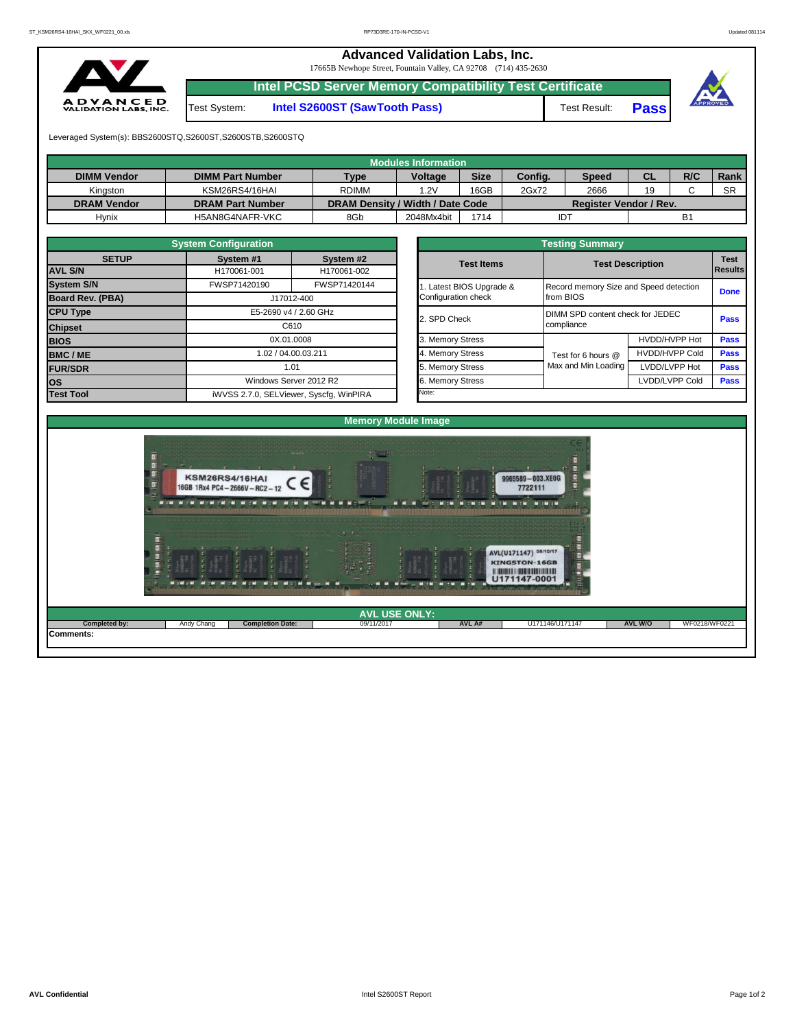## **Advanced Validation Labs, Inc.**  17665B Newhope Street, Fountain Valley, CA 92708 (714) 435-2630 **Intel PCSD Server Memory Compatibility Test Certificate DVANCED**<br>LIDATION LABS, INC. Test System: **Intel S2600ST (SawTooth Pass)** Test Result: **Pass** Leveraged System(s): BBS2600STQ,S2600ST,S2600STB,S2600STQ **Modules Information DIMM Vendor DIMM Part Number Type Voltage Size Config. Speed CL R/C Rank** Kingston | KSM26RS4/16HAI | RDIMM | 1.2V | 16GB 2Gx72 2666 | 19 | C | SR **DRAM Vendor DRAM Part Number DRAM Density / Width / Date Code Register Vendor / Rev.** Hynix | H5AN8G4NAFR-VKC | 8Gb | 2048Mx4bit | 1714 IDT B1 **System Configuration Testing Summary SETUP System #1 System #2 Test Items Test Description Test**  H170061-001 H170061-002 **AVL S/N Results System S/N** FWSP71420190 FWSP71420144 1. Latest BIOS Upgrade & Record memory Size and Speed detection **Done**<br>from BIOS **Board Rev. (PBA)** J17012-400 Configuration check **CPU Type** E5-2690 v4 / 2.60 GHz 2. SPD Check DIMM SPD content check for JEDEC DIMM SPD content check for JEDEC<br>compliance C610 **Chipset BIOS DISCUSSIONS DISCUSSIONS DISCUSSIONS 3. Memory Stress** HVDD/HVPP Hot **Pass BMC / ME 1.02** / 04.00.03.211 **1.02 / 04.00.03.211 1.02 / 04.00.03.211 1.02 / 1.02 / 04.00.03.211 1.04 / 1.05 / 0.05 / 0.05 / 0.05 / 0.05 / 0.05 / 0.05 / 0.05 / 0.05 / 0.05 / 0.05 / 0.05 / 0.05 / 0.05 / 0.05 / 0.0** Test for 6 hours @ Max and Min Loading **Pass FUR/SDR** 1.01 5. Memory Stress Max and Min Loading LVDD/LVPP Hot 1.01 5. Memory Stress Max and Min Loading LVDD/LVPP Hot **OS EXECUTE 2012 R2 Windows Server 2012 R2 6. Memory Stress LIVDD/LVPP Cold <b>Pass Test Tool** iWVSS 2.7.0, SELViewer, Syscfg, WinPIRA Note: **Memory Module Image** KSM26RS4/16HAI 9965589-003.XE0G **KSM26RS4/16HAI**<br>16GB 1Rx4 PC4-2666V-RC2-12  $\epsilon$ 7722111 **MIN Single** w NUMBER OF STREET M EM MEM MEMEN AVL(U171147) 08/10/17 KINGSTON-16GB U171147-0001 **AVL USE ONLY: Completed by:** Andy Chang **Completion Date:** 09/11/2017 **AVL A#** U171146/U171147 **AVL W/O** WF0218/WF0221

**Comments:**